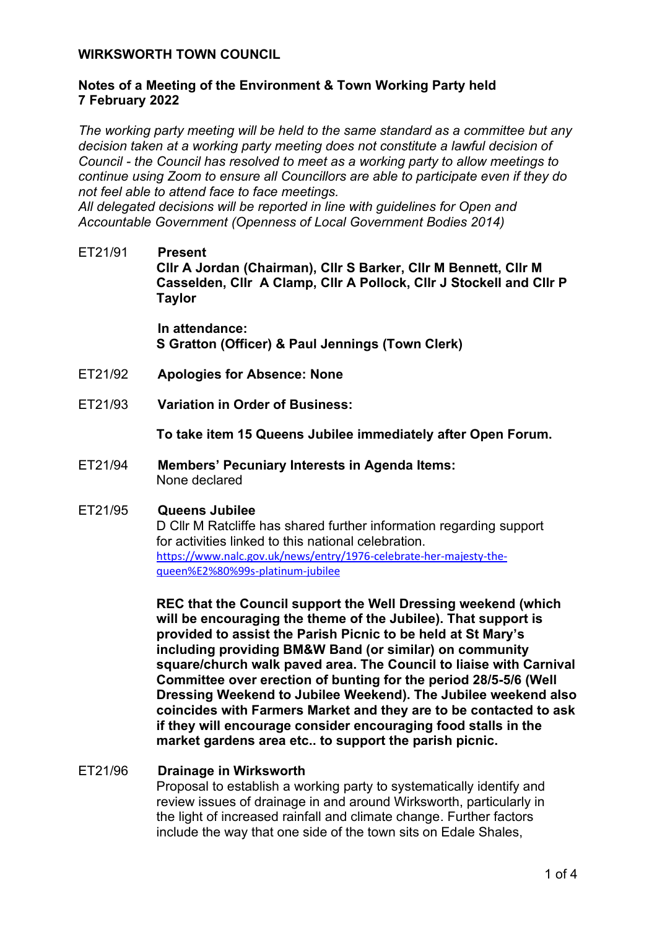## **WIRKSWORTH TOWN COUNCIL**

## **Notes of a Meeting of the Environment & Town Working Party held 7 February 2022**

*The working party meeting will be held to the same standard as a committee but any decision taken at a working party meeting does not constitute a lawful decision of Council - the Council has resolved to meet as a working party to allow meetings to continue using Zoom to ensure all Councillors are able to participate even if they do not feel able to attend face to face meetings.* 

*All delegated decisions will be reported in line with guidelines for Open and Accountable Government (Openness of Local Government Bodies 2014)* 

ET21/91 **Present Cllr A Jordan (Chairman), Cllr S Barker, Cllr M Bennett, Cllr M Casselden, Cllr A Clamp, Cllr A Pollock, Cllr J Stockell and Cllr P Taylor**

> **In attendance: S Gratton (Officer) & Paul Jennings (Town Clerk)**

- ET21/92 **Apologies for Absence: None**
- ET21/93 **Variation in Order of Business:**

**To take item 15 Queens Jubilee immediately after Open Forum.**

ET21/94 **Members' Pecuniary Interests in Agenda Items:**  None declared

#### ET21/95 **Queens Jubilee**

D Cllr M Ratcliffe has shared further information regarding support for activities linked to this national celebration. [https://www.nalc.gov.uk/news/entry/1976-celebrate-her-majesty-the](https://www.nalc.gov.uk/news/entry/1976-celebrate-her-majesty-the-queen%E2%80%99s-platinum-jubilee)[queen%E2%80%99s-platinum-jubilee](https://www.nalc.gov.uk/news/entry/1976-celebrate-her-majesty-the-queen%E2%80%99s-platinum-jubilee)

**REC that the Council support the Well Dressing weekend (which will be encouraging the theme of the Jubilee). That support is provided to assist the Parish Picnic to be held at St Mary's including providing BM&W Band (or similar) on community square/church walk paved area. The Council to liaise with Carnival Committee over erection of bunting for the period 28/5-5/6 (Well Dressing Weekend to Jubilee Weekend). The Jubilee weekend also coincides with Farmers Market and they are to be contacted to ask if they will encourage consider encouraging food stalls in the market gardens area etc.. to support the parish picnic.**

#### ET21/96 **Drainage in Wirksworth**

Proposal to establish a working party to systematically identify and review issues of drainage in and around Wirksworth, particularly in the light of increased rainfall and climate change. Further factors include the way that one side of the town sits on Edale Shales,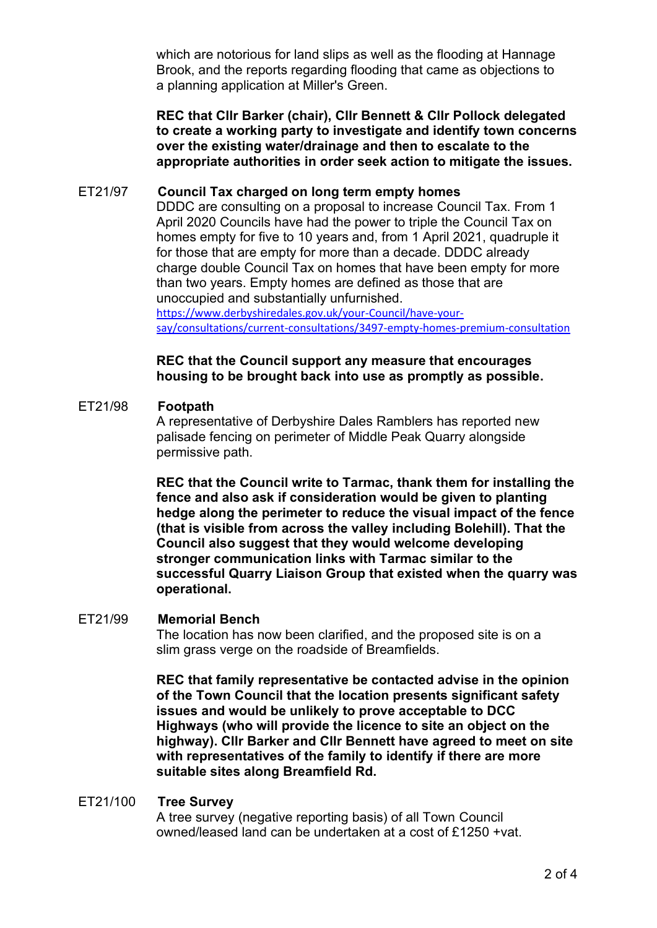which are notorious for land slips as well as the flooding at Hannage Brook, and the reports regarding flooding that came as objections to a planning application at Miller's Green.

**REC that Cllr Barker (chair), Cllr Bennett & Cllr Pollock delegated to create a working party to investigate and identify town concerns over the existing water/drainage and then to escalate to the appropriate authorities in order seek action to mitigate the issues.**

### ET21/97 **Council Tax charged on long term empty homes**

DDDC are consulting on a proposal to increase Council Tax. From 1 April 2020 Councils have had the power to triple the Council Tax on homes empty for five to 10 years and, from 1 April 2021, quadruple it for those that are empty for more than a decade. DDDC already charge double Council Tax on homes that have been empty for more than two years. Empty homes are defined as those that are unoccupied and substantially unfurnished.

[https://www.derbyshiredales.gov.uk/your-Council/have-your](https://www.derbyshiredales.gov.uk/your-council/have-your-say/consultations/current-consultations/3497-empty-homes-premium-consultation)[say/consultations/current-consultations/3497-empty-homes-premium-consultation](https://www.derbyshiredales.gov.uk/your-council/have-your-say/consultations/current-consultations/3497-empty-homes-premium-consultation)

## **REC that the Council support any measure that encourages housing to be brought back into use as promptly as possible.**

### ET21/98 **Footpath**

A representative of Derbyshire Dales Ramblers has reported new palisade fencing on perimeter of Middle Peak Quarry alongside permissive path.

**REC that the Council write to Tarmac, thank them for installing the fence and also ask if consideration would be given to planting hedge along the perimeter to reduce the visual impact of the fence (that is visible from across the valley including Bolehill). That the Council also suggest that they would welcome developing stronger communication links with Tarmac similar to the successful Quarry Liaison Group that existed when the quarry was operational.**

#### ET21/99 **Memorial Bench**

The location has now been clarified, and the proposed site is on a slim grass verge on the roadside of Breamfields.

**REC that family representative be contacted advise in the opinion of the Town Council that the location presents significant safety issues and would be unlikely to prove acceptable to DCC Highways (who will provide the licence to site an object on the highway). Cllr Barker and Cllr Bennett have agreed to meet on site with representatives of the family to identify if there are more suitable sites along Breamfield Rd.**

#### ET21/100 **Tree Survey**

A tree survey (negative reporting basis) of all Town Council owned/leased land can be undertaken at a cost of £1250 +vat.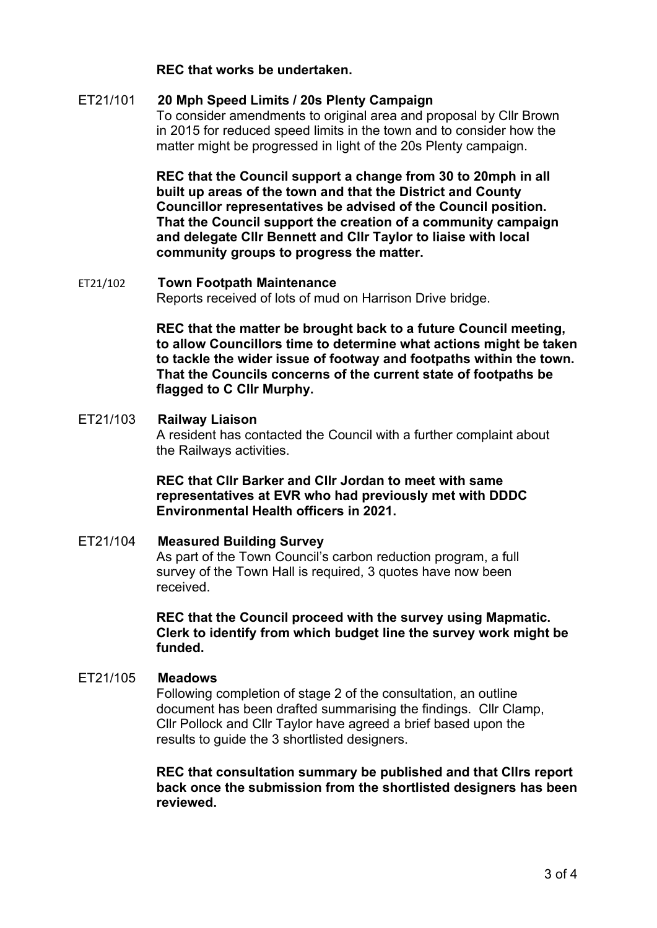## **REC that works be undertaken.**

## ET21/101 **20 Mph Speed Limits / 20s Plenty Campaign**

To consider amendments to original area and proposal by Cllr Brown in 2015 for reduced speed limits in the town and to consider how the matter might be progressed in light of the 20s Plenty campaign.

**REC that the Council support a change from 30 to 20mph in all built up areas of the town and that the District and County Councillor representatives be advised of the Council position. That the Council support the creation of a community campaign and delegate Cllr Bennett and Cllr Taylor to liaise with local community groups to progress the matter.**

#### ET21/102 **Town Footpath Maintenance** Reports received of lots of mud on Harrison Drive bridge.

**REC that the matter be brought back to a future Council meeting, to allow Councillors time to determine what actions might be taken to tackle the wider issue of footway and footpaths within the town. That the Councils concerns of the current state of footpaths be flagged to C Cllr Murphy.**

# ET21/103 **Railway Liaison** A resident has contacted the Council with a further complaint about the Railways activities.

## **REC that Cllr Barker and Cllr Jordan to meet with same representatives at EVR who had previously met with DDDC Environmental Health officers in 2021.**

## ET21/104 **Measured Building Survey** As part of the Town Council's carbon reduction program, a full survey of the Town Hall is required, 3 quotes have now been received.

## **REC that the Council proceed with the survey using Mapmatic. Clerk to identify from which budget line the survey work might be funded.**

#### ET21/105 **Meadows**

Following completion of stage 2 of the consultation, an outline document has been drafted summarising the findings. Cllr Clamp, Cllr Pollock and Cllr Taylor have agreed a brief based upon the results to guide the 3 shortlisted designers.

**REC that consultation summary be published and that Cllrs report back once the submission from the shortlisted designers has been reviewed.**